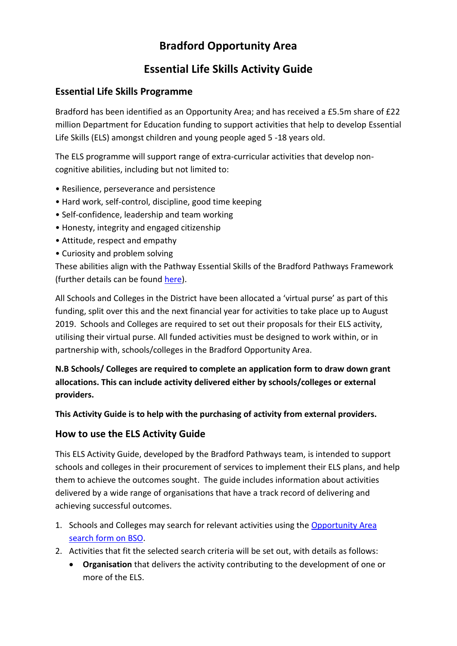# **Bradford Opportunity Area**

## **Essential Life Skills Activity Guide**

#### **Essential Life Skills Programme**

Bradford has been identified as an Opportunity Area; and has received a £5.5m share of £22 million Department for Education funding to support activities that help to develop Essential Life Skills (ELS) amongst children and young people aged 5 -18 years old.

The ELS programme will support range of extra-curricular activities that develop noncognitive abilities, including but not limited to:

- Resilience, perseverance and persistence
- Hard work, self-control, discipline, good time keeping
- Self-confidence, leadership and team working
- Honesty, integrity and engaged citizenship
- Attitude, respect and empathy
- Curiosity and problem solving

These abilities align with the Pathway Essential Skills of the Bradford Pathways Framework (further details can be found [here\)](https://bso.bradford.gov.uk/userfiles/file/OA/BP_Pathways%20Essentials.pdf).

All Schools and Colleges in the District have been allocated a 'virtual purse' as part of this funding, split over this and the next financial year for activities to take place up to August 2019. Schools and Colleges are required to set out their proposals for their ELS activity, utilising their virtual purse. All funded activities must be designed to work within, or in partnership with, schools/colleges in the Bradford Opportunity Area.

**N.B Schools/ Colleges are required to complete an application form to draw down grant allocations. This can include activity delivered either by schools/colleges or external providers.** 

**This Activity Guide is to help with the purchasing of activity from external providers.** 

#### **How to use the ELS Activity Guide**

This ELS Activity Guide, developed by the Bradford Pathways team, is intended to support schools and colleges in their procurement of services to implement their ELS plans, and help them to achieve the outcomes sought. The guide includes information about activities delivered by a wide range of organisations that have a track record of delivering and achieving successful outcomes.

- 1. Schools and Colleges may search for relevant activities using the [Opportunity Area](https://bso.bradford.gov.uk/oa/) [search form on BSO.](https://bso.bradford.gov.uk/oa/)
- 2. Activities that fit the selected search criteria will be set out, with details as follows:
	- **Organisation** that delivers the activity contributing to the development of one or more of the ELS.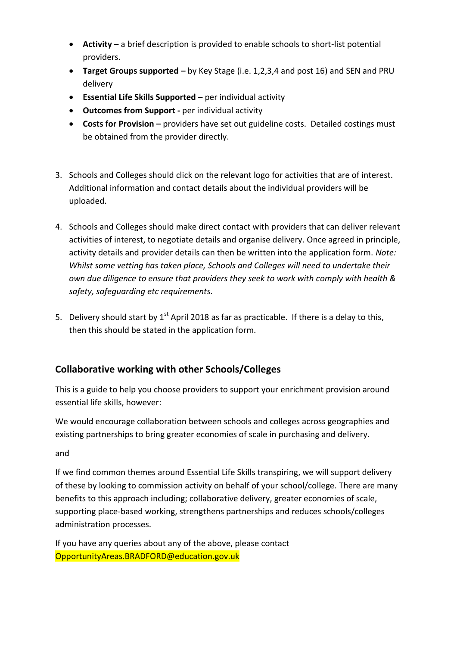- **Activity –** a brief description is provided to enable schools to short-list potential providers.
- **Target Groups supported –** by Key Stage (i.e. 1,2,3,4 and post 16) and SEN and PRU delivery
- **Essential Life Skills Supported –** per individual activity
- **Outcomes from Support -** per individual activity
- **Costs for Provision –** providers have set out guideline costs. Detailed costings must be obtained from the provider directly.
- 3. Schools and Colleges should click on the relevant logo for activities that are of interest. Additional information and contact details about the individual providers will be uploaded.
- 4. Schools and Colleges should make direct contact with providers that can deliver relevant activities of interest, to negotiate details and organise delivery. Once agreed in principle, activity details and provider details can then be written into the application form. *Note: Whilst some vetting has taken place, Schools and Colleges will need to undertake their own due diligence to ensure that providers they seek to work with comply with health & safety, safeguarding etc requirements.*
- 5. Delivery should start by  $1<sup>st</sup>$  April 2018 as far as practicable. If there is a delay to this, then this should be stated in the application form.

### **Collaborative working with other Schools/Colleges**

This is a guide to help you choose providers to support your enrichment provision around essential life skills, however:

We would encourage collaboration between schools and colleges across geographies and existing partnerships to bring greater economies of scale in purchasing and delivery.

and

If we find common themes around Essential Life Skills transpiring, we will support delivery of these by looking to commission activity on behalf of your school/college. There are many benefits to this approach including; collaborative delivery, greater economies of scale, supporting place-based working, strengthens partnerships and reduces schools/colleges administration processes.

If you have any queries about any of the above, please contact OpportunityAreas.BRADFORD@education.gov.uk